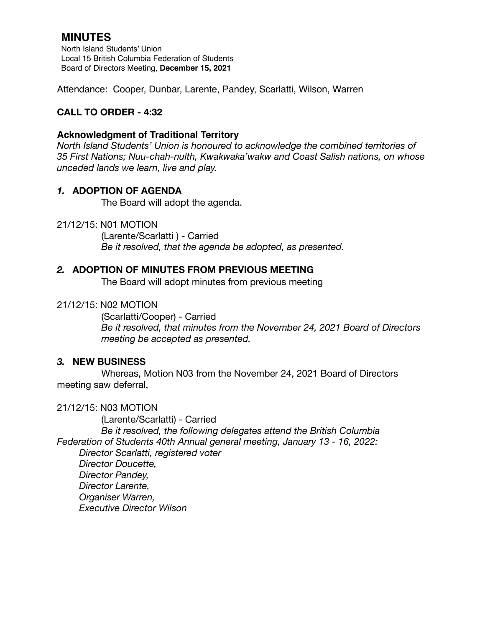# **MINUTES**

North Island Students' Union Local 15 British Columbia Federation of Students Board of Directors Meeting, **December 15, 2021**

Attendance: Cooper, Dunbar, Larente, Pandey, Scarlatti, Wilson, Warren

# **CALL TO ORDER - 4:32**

### **Acknowledgment of Traditional Territory**

*North Island Students' Union is honoured to acknowledge the combined territories of 35 First Nations; Nuu-chah-nulth, Kwakwaka'wakw and Coast Salish nations, on whose unceded lands we learn, live and play.*

### *1.* **ADOPTION OF AGENDA**

The Board will adopt the agenda.

### 21/12/15: N01 MOTION

 (Larente/Scarlatti ) - Carried *Be it resolved, that the agenda be adopted, as presented.* 

### *2.* **ADOPTION OF MINUTES FROM PREVIOUS MEETING**

The Board will adopt minutes from previous meeting

### 21/12/15: N02 MOTION

(Scarlatti/Cooper) - Carried *Be it resolved, that minutes from the November 24, 2021 Board of Directors meeting be accepted as presented.* 

### *3.* **NEW BUSINESS**

Whereas, Motion N03 from the November 24, 2021 Board of Directors meeting saw deferral,

### 21/12/15: N03 MOTION

(Larente/Scarlatti) - Carried *Be it resolved, the following delegates attend the British Columbia Federation of Students 40th Annual general meeting, January 13 - 16, 2022: Director Scarlatti, registered voter Director Doucette,* 

*Director Pandey, Director Larente, Organiser Warren, Executive Director Wilson*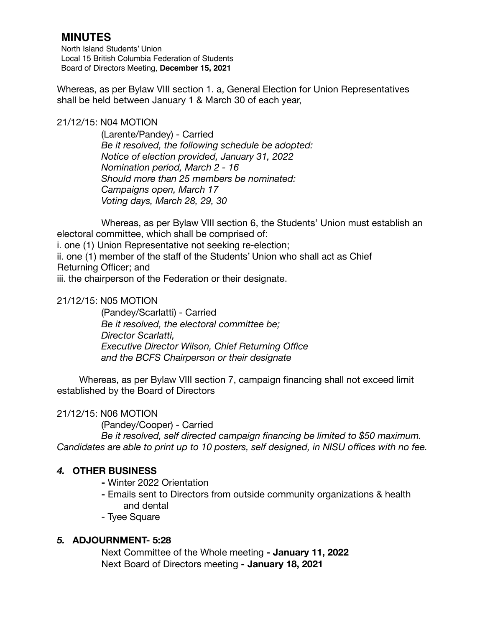# **MINUTES**

North Island Students' Union Local 15 British Columbia Federation of Students Board of Directors Meeting, **December 15, 2021**

Whereas, as per Bylaw VIII section 1. a, General Election for Union Representatives shall be held between January 1 & March 30 of each year,

### 21/12/15: N04 MOTION

(Larente/Pandey) - Carried *Be it resolved, the following schedule be adopted: Notice of election provided, January 31, 2022 Nomination period, March 2 - 16 Should more than 25 members be nominated: Campaigns open, March 17 Voting days, March 28, 29, 30* 

Whereas, as per Bylaw VIII section 6, the Students' Union must establish an electoral committee, which shall be comprised of:

i. one (1) Union Representative not seeking re-election;

ii. one (1) member of the staff of the Students' Union who shall act as Chief

Returning Officer; and

iii. the chairperson of the Federation or their designate.

# 21/12/15: N05 MOTION

(Pandey/Scarlatti) - Carried *Be it resolved, the electoral committee be; Director Scarlatti, Executive Director Wilson, Chief Returning Office and the BCFS Chairperson or their designate* 

Whereas, as per Bylaw VIII section 7, campaign financing shall not exceed limit established by the Board of Directors

# 21/12/15: N06 MOTION

 (Pandey/Cooper) - Carried

 *Be it resolved, self directed campaign financing be limited to \$50 maximum. Candidates are able to print up to 10 posters, self designed, in NISU offices with no fee.* 

# *4.* **OTHER BUSINESS**

**-** Winter 2022 Orientation

- Emails sent to Directors from outside community organizations & health and dental
- Tyee Square

# *5.* **ADJOURNMENT- 5:28**

Next Committee of the Whole meeting **- January 11, 2022**  Next Board of Directors meeting **- January 18, 2021**